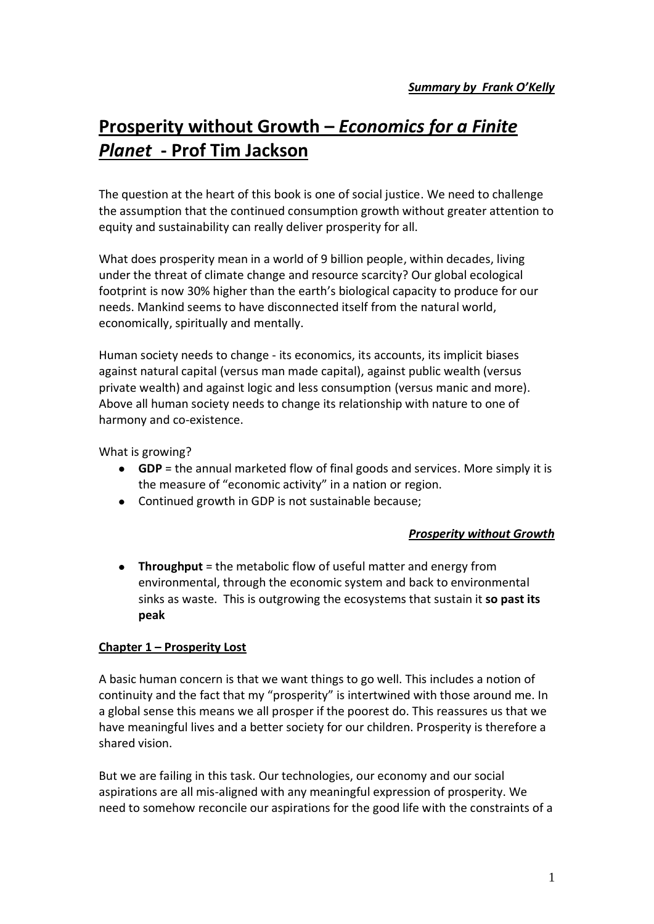# **Prosperity without Growth –** *Economics for a Finite Planet* **- Prof Tim Jackson**

The question at the heart of this book is one of social justice. We need to challenge the assumption that the continued consumption growth without greater attention to equity and sustainability can really deliver prosperity for all.

What does prosperity mean in a world of 9 billion people, within decades, living under the threat of climate change and resource scarcity? Our global ecological footprint is now 30% higher than the earth's biological capacity to produce for our needs. Mankind seems to have disconnected itself from the natural world, economically, spiritually and mentally.

Human society needs to change - its economics, its accounts, its implicit biases against natural capital (versus man made capital), against public wealth (versus private wealth) and against logic and less consumption (versus manic and more). Above all human society needs to change its relationship with nature to one of harmony and co-existence.

What is growing?

- **GDP** = the annual marketed flow of final goods and services. More simply it is the measure of "economic activity" in a nation or region.
- Continued growth in GDP is not sustainable because;

#### *Prosperity without Growth*

**Throughput** = the metabolic flow of useful matter and energy from environmental, through the economic system and back to environmental sinks as waste. This is outgrowing the ecosystems that sustain it **so past its peak**

#### **Chapter 1 – Prosperity Lost**

A basic human concern is that we want things to go well. This includes a notion of continuity and the fact that my "prosperity" is intertwined with those around me. In a global sense this means we all prosper if the poorest do. This reassures us that we have meaningful lives and a better society for our children. Prosperity is therefore a shared vision.

But we are failing in this task. Our technologies, our economy and our social aspirations are all mis-aligned with any meaningful expression of prosperity. We need to somehow reconcile our aspirations for the good life with the constraints of a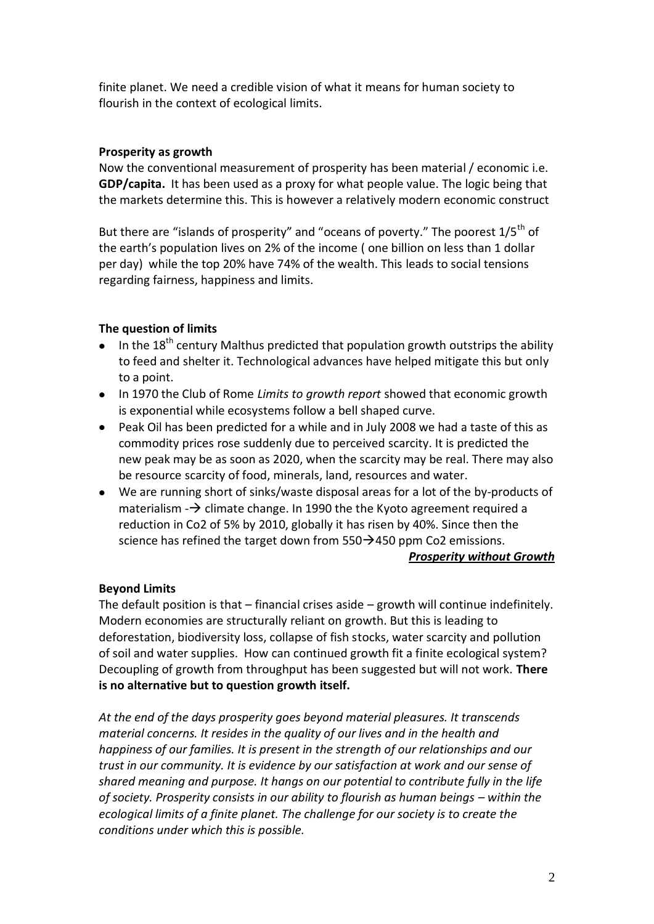finite planet. We need a credible vision of what it means for human society to flourish in the context of ecological limits.

# **Prosperity as growth**

Now the conventional measurement of prosperity has been material / economic i.e. **GDP/capita.** It has been used as a proxy for what people value. The logic being that the markets determine this. This is however a relatively modern economic construct

But there are "islands of prosperity" and "oceans of poverty." The poorest 1/5<sup>th</sup> of the earth's population lives on 2% of the income ( one billion on less than 1 dollar per day) while the top 20% have 74% of the wealth. This leads to social tensions regarding fairness, happiness and limits.

# **The question of limits**

- In the  $18<sup>th</sup>$  century Malthus predicted that population growth outstrips the ability to feed and shelter it. Technological advances have helped mitigate this but only to a point.
- In 1970 the Club of Rome *Limits to growth report* showed that economic growth is exponential while ecosystems follow a bell shaped curve.
- Peak Oil has been predicted for a while and in July 2008 we had a taste of this as commodity prices rose suddenly due to perceived scarcity. It is predicted the new peak may be as soon as 2020, when the scarcity may be real. There may also be resource scarcity of food, minerals, land, resources and water.
- We are running short of sinks/waste disposal areas for a lot of the by-products of materialism  $\rightarrow$  climate change. In 1990 the the Kyoto agreement required a reduction in Co2 of 5% by 2010, globally it has risen by 40%. Since then the science has refined the target down from  $550\rightarrow 450$  ppm Co2 emissions.

#### *Prosperity without Growth*

# **Beyond Limits**

The default position is that – financial crises aside – growth will continue indefinitely. Modern economies are structurally reliant on growth. But this is leading to deforestation, biodiversity loss, collapse of fish stocks, water scarcity and pollution of soil and water supplies. How can continued growth fit a finite ecological system? Decoupling of growth from throughput has been suggested but will not work. **There is no alternative but to question growth itself.**

*At the end of the days prosperity goes beyond material pleasures. It transcends material concerns. It resides in the quality of our lives and in the health and happiness of our families. It is present in the strength of our relationships and our trust in our community. It is evidence by our satisfaction at work and our sense of shared meaning and purpose. It hangs on our potential to contribute fully in the life of society. Prosperity consists in our ability to flourish as human beings – within the ecological limits of a finite planet. The challenge for our society is to create the conditions under which this is possible.*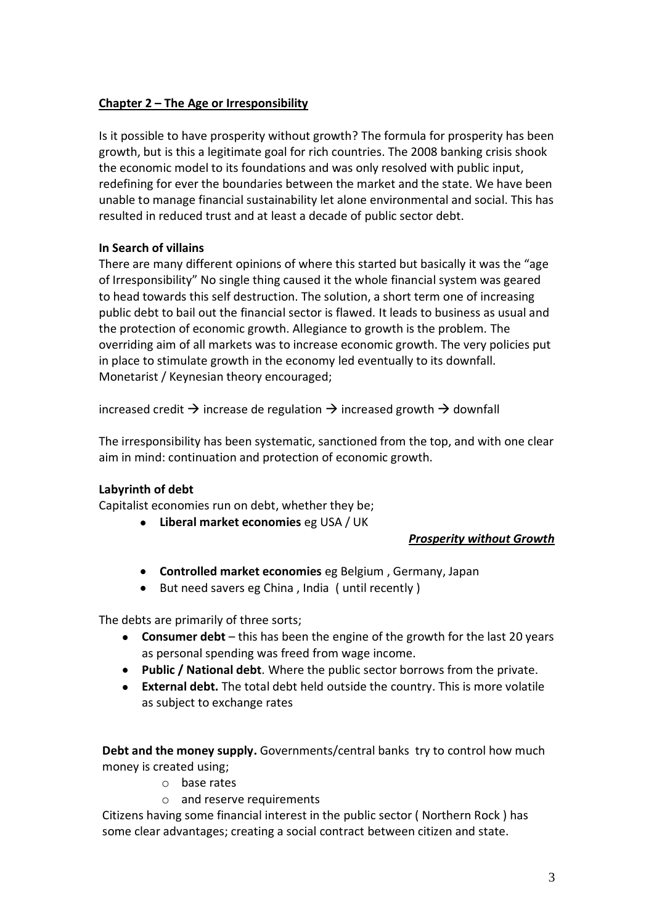# **Chapter 2 – The Age or Irresponsibility**

Is it possible to have prosperity without growth? The formula for prosperity has been growth, but is this a legitimate goal for rich countries. The 2008 banking crisis shook the economic model to its foundations and was only resolved with public input, redefining for ever the boundaries between the market and the state. We have been unable to manage financial sustainability let alone environmental and social. This has resulted in reduced trust and at least a decade of public sector debt.

# **In Search of villains**

There are many different opinions of where this started but basically it was the "age of Irresponsibility" No single thing caused it the whole financial system was geared to head towards this self destruction. The solution, a short term one of increasing public debt to bail out the financial sector is flawed. It leads to business as usual and the protection of economic growth. Allegiance to growth is the problem. The overriding aim of all markets was to increase economic growth. The very policies put in place to stimulate growth in the economy led eventually to its downfall. Monetarist / Keynesian theory encouraged;

increased credit  $\rightarrow$  increase de regulation  $\rightarrow$  increased growth  $\rightarrow$  downfall

The irresponsibility has been systematic, sanctioned from the top, and with one clear aim in mind: continuation and protection of economic growth.

# **Labyrinth of debt**

Capitalist economies run on debt, whether they be;

**Liberal market economies** eg USA / UK

#### *Prosperity without Growth*

- **Controlled market economies** eg Belgium , Germany, Japan
- But need savers eg China , India ( until recently )

The debts are primarily of three sorts;

- **Consumer debt** this has been the engine of the growth for the last 20 years as personal spending was freed from wage income.
- **Public / National debt**. Where the public sector borrows from the private.
- **External debt.** The total debt held outside the country. This is more volatile as subject to exchange rates

**Debt and the money supply.** Governments/central banks try to control how much money is created using;

- o base rates
- o and reserve requirements

Citizens having some financial interest in the public sector ( Northern Rock ) has some clear advantages; creating a social contract between citizen and state.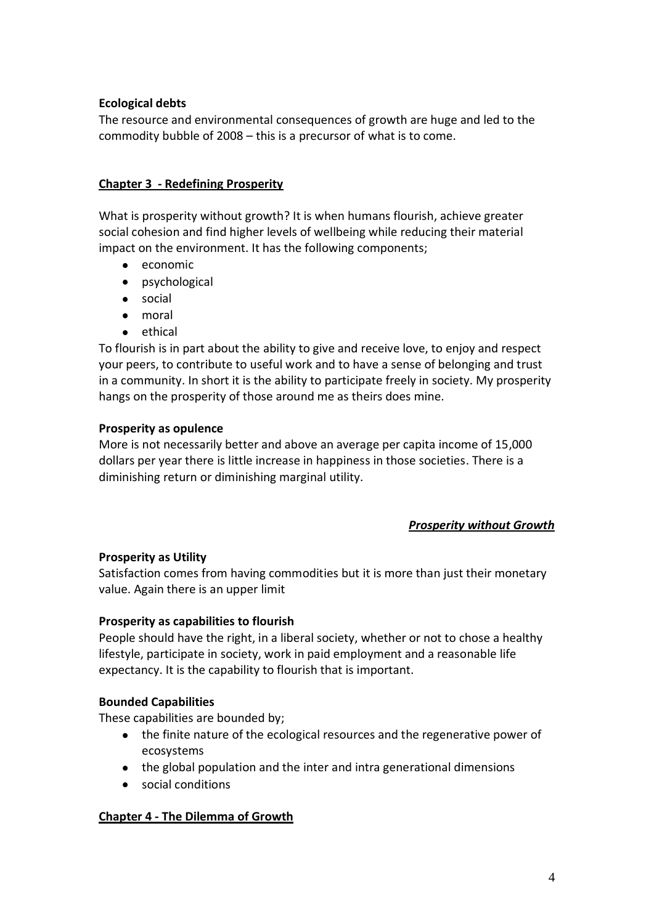# **Ecological debts**

The resource and environmental consequences of growth are huge and led to the commodity bubble of 2008 – this is a precursor of what is to come.

## **Chapter 3 - Redefining Prosperity**

What is prosperity without growth? It is when humans flourish, achieve greater social cohesion and find higher levels of wellbeing while reducing their material impact on the environment. It has the following components;

- economic
- psychological
- social
- moral
- **e** ethical

To flourish is in part about the ability to give and receive love, to enjoy and respect your peers, to contribute to useful work and to have a sense of belonging and trust in a community. In short it is the ability to participate freely in society. My prosperity hangs on the prosperity of those around me as theirs does mine.

#### **Prosperity as opulence**

More is not necessarily better and above an average per capita income of 15,000 dollars per year there is little increase in happiness in those societies. There is a diminishing return or diminishing marginal utility.

#### *Prosperity without Growth*

# **Prosperity as Utility**

Satisfaction comes from having commodities but it is more than just their monetary value. Again there is an upper limit

# **Prosperity as capabilities to flourish**

People should have the right, in a liberal society, whether or not to chose a healthy lifestyle, participate in society, work in paid employment and a reasonable life expectancy. It is the capability to flourish that is important.

# **Bounded Capabilities**

These capabilities are bounded by;

- the finite nature of the ecological resources and the regenerative power of ecosystems
- the global population and the inter and intra generational dimensions
- social conditions

# **Chapter 4 - The Dilemma of Growth**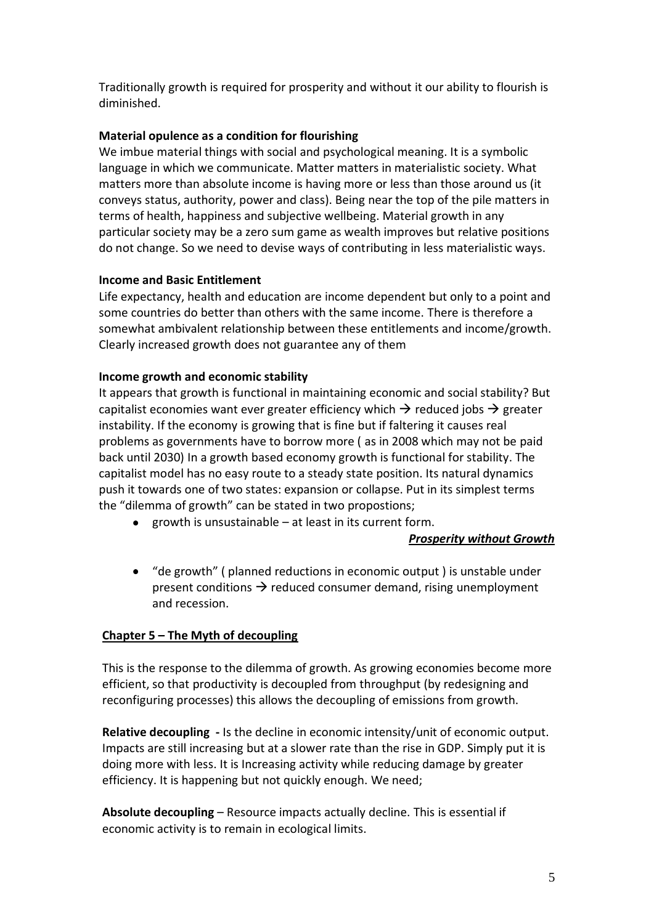Traditionally growth is required for prosperity and without it our ability to flourish is diminished.

# **Material opulence as a condition for flourishing**

We imbue material things with social and psychological meaning. It is a symbolic language in which we communicate. Matter matters in materialistic society. What matters more than absolute income is having more or less than those around us (it conveys status, authority, power and class). Being near the top of the pile matters in terms of health, happiness and subjective wellbeing. Material growth in any particular society may be a zero sum game as wealth improves but relative positions do not change. So we need to devise ways of contributing in less materialistic ways.

# **Income and Basic Entitlement**

Life expectancy, health and education are income dependent but only to a point and some countries do better than others with the same income. There is therefore a somewhat ambivalent relationship between these entitlements and income/growth. Clearly increased growth does not guarantee any of them

# **Income growth and economic stability**

It appears that growth is functional in maintaining economic and social stability? But capitalist economies want ever greater efficiency which  $\rightarrow$  reduced jobs  $\rightarrow$  greater instability. If the economy is growing that is fine but if faltering it causes real problems as governments have to borrow more ( as in 2008 which may not be paid back until 2030) In a growth based economy growth is functional for stability. The capitalist model has no easy route to a steady state position. Its natural dynamics push it towards one of two states: expansion or collapse. Put in its simplest terms the "dilemma of growth" can be stated in two propostions;

**e** growth is unsustainable – at least in its current form.

#### *Prosperity without Growth*

"de growth" ( planned reductions in economic output ) is unstable under present conditions  $\rightarrow$  reduced consumer demand, rising unemployment and recession.

# **Chapter 5 – The Myth of decoupling**

This is the response to the dilemma of growth. As growing economies become more efficient, so that productivity is decoupled from throughput (by redesigning and reconfiguring processes) this allows the decoupling of emissions from growth.

**Relative decoupling -** Is the decline in economic intensity/unit of economic output. Impacts are still increasing but at a slower rate than the rise in GDP. Simply put it is doing more with less. It is Increasing activity while reducing damage by greater efficiency. It is happening but not quickly enough. We need;

**Absolute decoupling** – Resource impacts actually decline. This is essential if economic activity is to remain in ecological limits.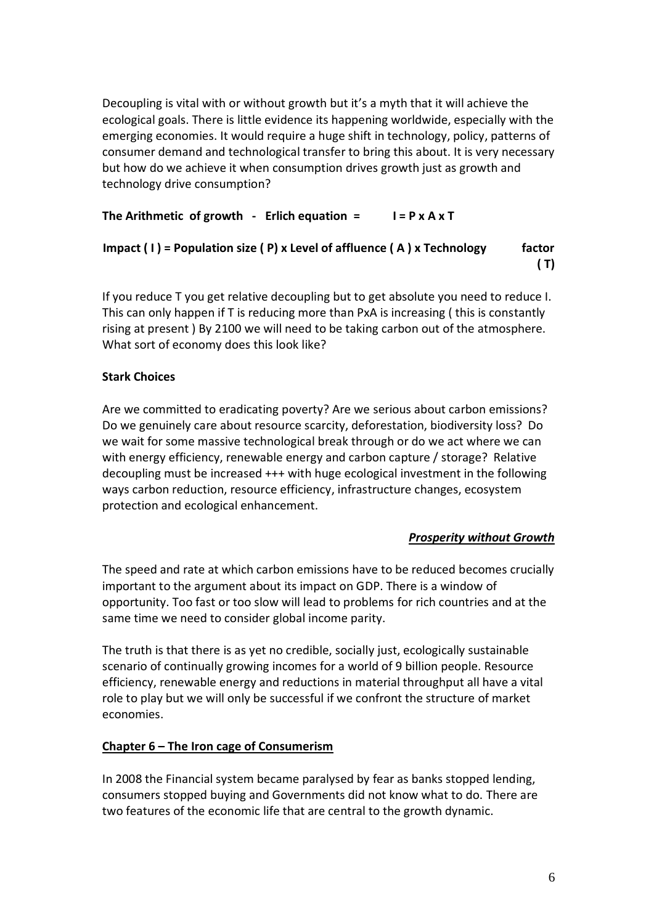Decoupling is vital with or without growth but it's a myth that it will achieve the ecological goals. There is little evidence its happening worldwide, especially with the emerging economies. It would require a huge shift in technology, policy, patterns of consumer demand and technological transfer to bring this about. It is very necessary but how do we achieve it when consumption drives growth just as growth and technology drive consumption?

# **The Arithmetic of growth - Erlich equation = I = P x A x T**

# **Impact ( I ) = Population size ( P) x Level of affluence ( A ) x Technology factor ( T)**

If you reduce T you get relative decoupling but to get absolute you need to reduce I. This can only happen if T is reducing more than PxA is increasing ( this is constantly rising at present ) By 2100 we will need to be taking carbon out of the atmosphere. What sort of economy does this look like?

# **Stark Choices**

Are we committed to eradicating poverty? Are we serious about carbon emissions? Do we genuinely care about resource scarcity, deforestation, biodiversity loss? Do we wait for some massive technological break through or do we act where we can with energy efficiency, renewable energy and carbon capture / storage? Relative decoupling must be increased +++ with huge ecological investment in the following ways carbon reduction, resource efficiency, infrastructure changes, ecosystem protection and ecological enhancement.

# *Prosperity without Growth*

The speed and rate at which carbon emissions have to be reduced becomes crucially important to the argument about its impact on GDP. There is a window of opportunity. Too fast or too slow will lead to problems for rich countries and at the same time we need to consider global income parity.

The truth is that there is as yet no credible, socially just, ecologically sustainable scenario of continually growing incomes for a world of 9 billion people. Resource efficiency, renewable energy and reductions in material throughput all have a vital role to play but we will only be successful if we confront the structure of market economies.

# **Chapter 6 – The Iron cage of Consumerism**

In 2008 the Financial system became paralysed by fear as banks stopped lending, consumers stopped buying and Governments did not know what to do. There are two features of the economic life that are central to the growth dynamic.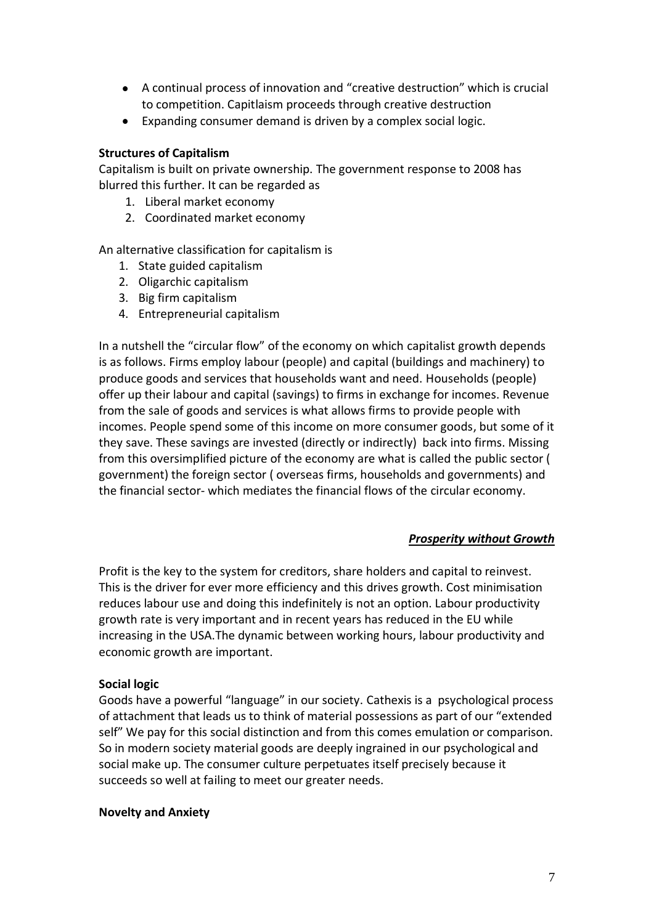- A continual process of innovation and "creative destruction" which is crucial to competition. Capitlaism proceeds through creative destruction
- Expanding consumer demand is driven by a complex social logic.

#### **Structures of Capitalism**

Capitalism is built on private ownership. The government response to 2008 has blurred this further. It can be regarded as

- 1. Liberal market economy
- 2. Coordinated market economy

An alternative classification for capitalism is

- 1. State guided capitalism
- 2. Oligarchic capitalism
- 3. Big firm capitalism
- 4. Entrepreneurial capitalism

In a nutshell the "circular flow" of the economy on which capitalist growth depends is as follows. Firms employ labour (people) and capital (buildings and machinery) to produce goods and services that households want and need. Households (people) offer up their labour and capital (savings) to firms in exchange for incomes. Revenue from the sale of goods and services is what allows firms to provide people with incomes. People spend some of this income on more consumer goods, but some of it they save. These savings are invested (directly or indirectly) back into firms. Missing from this oversimplified picture of the economy are what is called the public sector ( government) the foreign sector ( overseas firms, households and governments) and the financial sector- which mediates the financial flows of the circular economy.

#### *Prosperity without Growth*

Profit is the key to the system for creditors, share holders and capital to reinvest. This is the driver for ever more efficiency and this drives growth. Cost minimisation reduces labour use and doing this indefinitely is not an option. Labour productivity growth rate is very important and in recent years has reduced in the EU while increasing in the USA.The dynamic between working hours, labour productivity and economic growth are important.

#### **Social logic**

Goods have a powerful "language" in our society. Cathexis is a psychological process of attachment that leads us to think of material possessions as part of our "extended self" We pay for this social distinction and from this comes emulation or comparison. So in modern society material goods are deeply ingrained in our psychological and social make up. The consumer culture perpetuates itself precisely because it succeeds so well at failing to meet our greater needs.

#### **Novelty and Anxiety**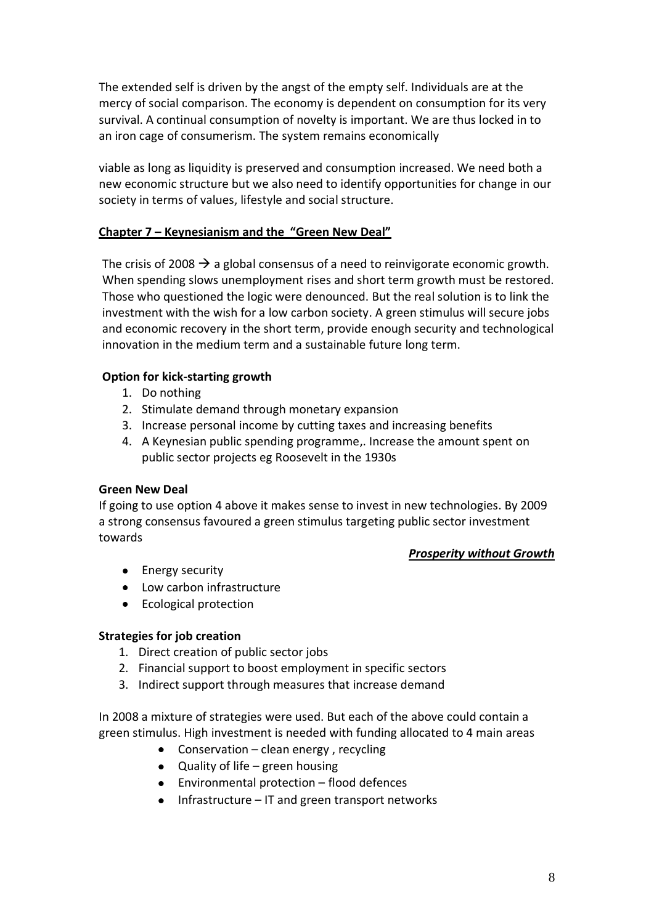The extended self is driven by the angst of the empty self. Individuals are at the mercy of social comparison. The economy is dependent on consumption for its very survival. A continual consumption of novelty is important. We are thus locked in to an iron cage of consumerism. The system remains economically

viable as long as liquidity is preserved and consumption increased. We need both a new economic structure but we also need to identify opportunities for change in our society in terms of values, lifestyle and social structure.

# **Chapter 7 – Keynesianism and the "Green New Deal"**

The crisis of 2008  $\rightarrow$  a global consensus of a need to reinvigorate economic growth. When spending slows unemployment rises and short term growth must be restored. Those who questioned the logic were denounced. But the real solution is to link the investment with the wish for a low carbon society. A green stimulus will secure jobs and economic recovery in the short term, provide enough security and technological innovation in the medium term and a sustainable future long term.

# **Option for kick-starting growth**

- 1. Do nothing
- 2. Stimulate demand through monetary expansion
- 3. Increase personal income by cutting taxes and increasing benefits
- 4. A Keynesian public spending programme,. Increase the amount spent on public sector projects eg Roosevelt in the 1930s

#### **Green New Deal**

If going to use option 4 above it makes sense to invest in new technologies. By 2009 a strong consensus favoured a green stimulus targeting public sector investment towards

#### *Prosperity without Growth*

- Energy security
- Low carbon infrastructure
- Ecological protection

#### **Strategies for job creation**

- 1. Direct creation of public sector jobs
- 2. Financial support to boost employment in specific sectors
- 3. Indirect support through measures that increase demand

In 2008 a mixture of strategies were used. But each of the above could contain a green stimulus. High investment is needed with funding allocated to 4 main areas

- Conservation clean energy, recycling
- Quality of life green housing
- Environmental protection flood defences
- Infrastructure IT and green transport networks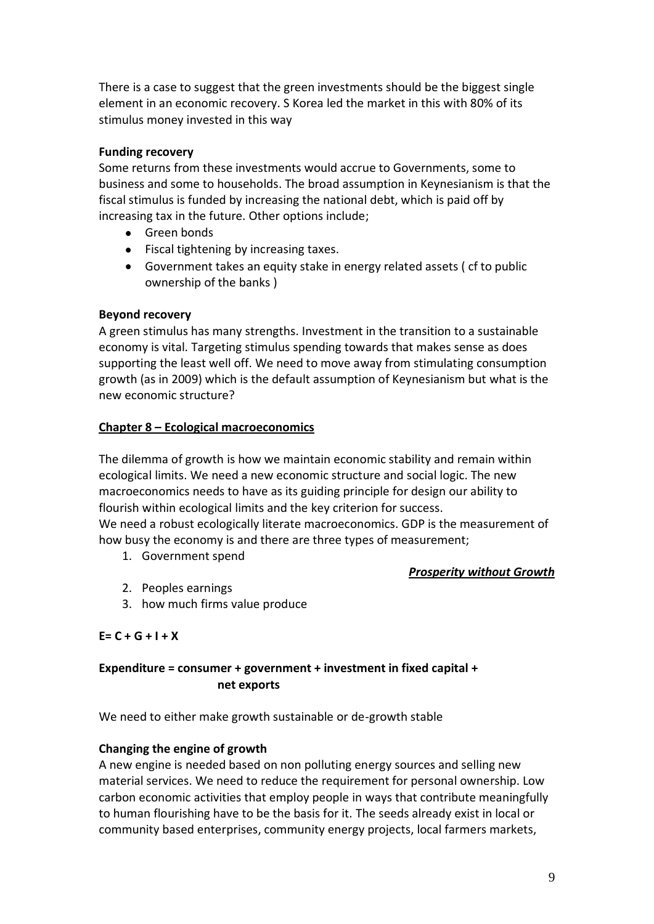There is a case to suggest that the green investments should be the biggest single element in an economic recovery. S Korea led the market in this with 80% of its stimulus money invested in this way

#### **Funding recovery**

Some returns from these investments would accrue to Governments, some to business and some to households. The broad assumption in Keynesianism is that the fiscal stimulus is funded by increasing the national debt, which is paid off by increasing tax in the future. Other options include;

- **•** Green bonds
- Fiscal tightening by increasing taxes.
- Government takes an equity stake in energy related assets ( cf to public ownership of the banks )

#### **Beyond recovery**

A green stimulus has many strengths. Investment in the transition to a sustainable economy is vital. Targeting stimulus spending towards that makes sense as does supporting the least well off. We need to move away from stimulating consumption growth (as in 2009) which is the default assumption of Keynesianism but what is the new economic structure?

#### **Chapter 8 – Ecological macroeconomics**

The dilemma of growth is how we maintain economic stability and remain within ecological limits. We need a new economic structure and social logic. The new macroeconomics needs to have as its guiding principle for design our ability to flourish within ecological limits and the key criterion for success. We need a robust ecologically literate macroeconomics. GDP is the measurement of how busy the economy is and there are three types of measurement;

1. Government spend

#### *Prosperity without Growth*

- 2. Peoples earnings
- 3. how much firms value produce

#### **E= C + G + I + X**

# **Expenditure = consumer + government + investment in fixed capital + net exports**

We need to either make growth sustainable or de-growth stable

#### **Changing the engine of growth**

A new engine is needed based on non polluting energy sources and selling new material services. We need to reduce the requirement for personal ownership. Low carbon economic activities that employ people in ways that contribute meaningfully to human flourishing have to be the basis for it. The seeds already exist in local or community based enterprises, community energy projects, local farmers markets,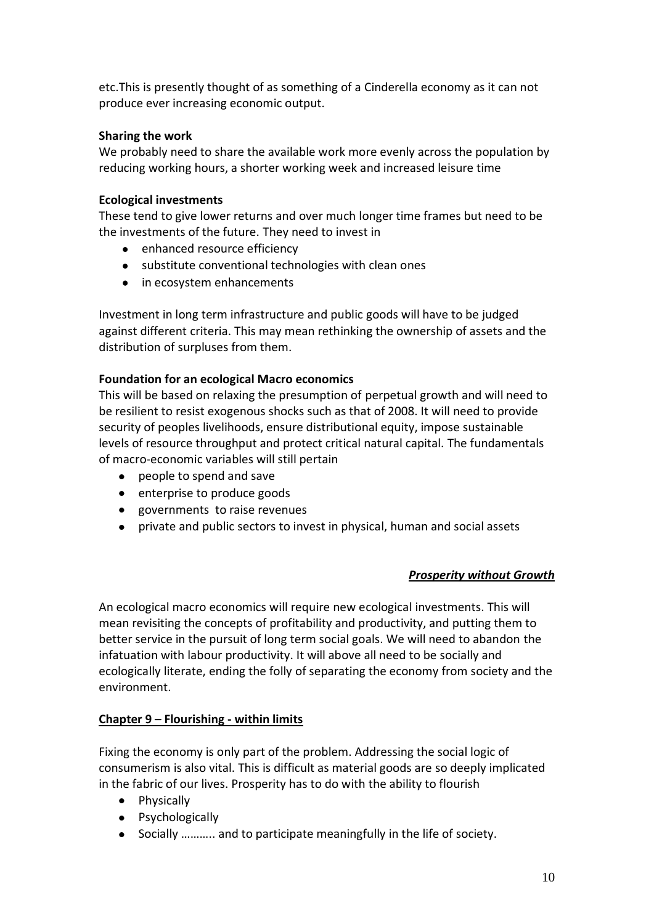etc.This is presently thought of as something of a Cinderella economy as it can not produce ever increasing economic output.

# **Sharing the work**

We probably need to share the available work more evenly across the population by reducing working hours, a shorter working week and increased leisure time

## **Ecological investments**

These tend to give lower returns and over much longer time frames but need to be the investments of the future. They need to invest in

- enhanced resource efficiency
- substitute conventional technologies with clean ones
- in ecosystem enhancements

Investment in long term infrastructure and public goods will have to be judged against different criteria. This may mean rethinking the ownership of assets and the distribution of surpluses from them.

# **Foundation for an ecological Macro economics**

This will be based on relaxing the presumption of perpetual growth and will need to be resilient to resist exogenous shocks such as that of 2008. It will need to provide security of peoples livelihoods, ensure distributional equity, impose sustainable levels of resource throughput and protect critical natural capital. The fundamentals of macro-economic variables will still pertain

- people to spend and save
- enterprise to produce goods
- governments to raise revenues
- private and public sectors to invest in physical, human and social assets

# *Prosperity without Growth*

An ecological macro economics will require new ecological investments. This will mean revisiting the concepts of profitability and productivity, and putting them to better service in the pursuit of long term social goals. We will need to abandon the infatuation with labour productivity. It will above all need to be socially and ecologically literate, ending the folly of separating the economy from society and the environment.

# **Chapter 9 – Flourishing - within limits**

Fixing the economy is only part of the problem. Addressing the social logic of consumerism is also vital. This is difficult as material goods are so deeply implicated in the fabric of our lives. Prosperity has to do with the ability to flourish

- Physically
- Psychologically
- Socially ……….. and to participate meaningfully in the life of society.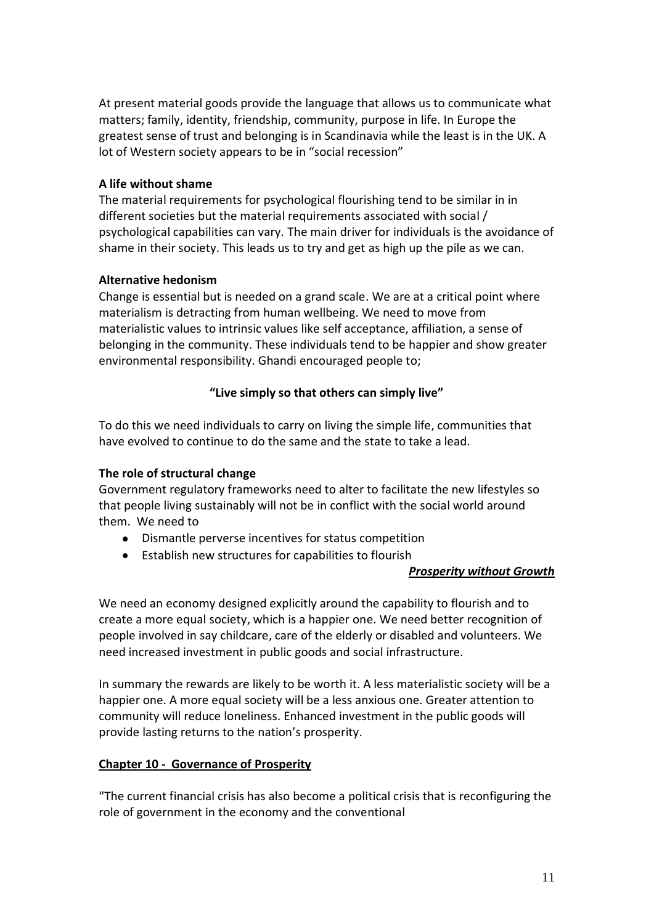At present material goods provide the language that allows us to communicate what matters; family, identity, friendship, community, purpose in life. In Europe the greatest sense of trust and belonging is in Scandinavia while the least is in the UK. A lot of Western society appears to be in "social recession"

#### **A life without shame**

The material requirements for psychological flourishing tend to be similar in in different societies but the material requirements associated with social / psychological capabilities can vary. The main driver for individuals is the avoidance of shame in their society. This leads us to try and get as high up the pile as we can.

#### **Alternative hedonism**

Change is essential but is needed on a grand scale. We are at a critical point where materialism is detracting from human wellbeing. We need to move from materialistic values to intrinsic values like self acceptance, affiliation, a sense of belonging in the community. These individuals tend to be happier and show greater environmental responsibility. Ghandi encouraged people to;

#### **"Live simply so that others can simply live"**

To do this we need individuals to carry on living the simple life, communities that have evolved to continue to do the same and the state to take a lead.

#### **The role of structural change**

Government regulatory frameworks need to alter to facilitate the new lifestyles so that people living sustainably will not be in conflict with the social world around them. We need to

- Dismantle perverse incentives for status competition
- Establish new structures for capabilities to flourish

#### *Prosperity without Growth*

We need an economy designed explicitly around the capability to flourish and to create a more equal society, which is a happier one. We need better recognition of people involved in say childcare, care of the elderly or disabled and volunteers. We need increased investment in public goods and social infrastructure.

In summary the rewards are likely to be worth it. A less materialistic society will be a happier one. A more equal society will be a less anxious one. Greater attention to community will reduce loneliness. Enhanced investment in the public goods will provide lasting returns to the nation's prosperity.

# **Chapter 10 - Governance of Prosperity**

"The current financial crisis has also become a political crisis that is reconfiguring the role of government in the economy and the conventional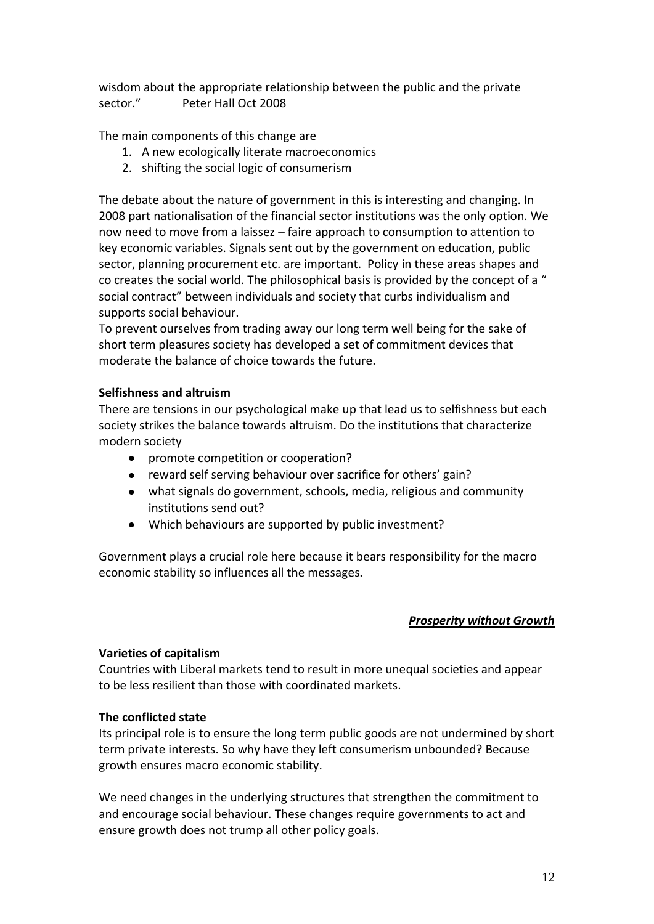wisdom about the appropriate relationship between the public and the private sector." Peter Hall Oct 2008

The main components of this change are

- 1. A new ecologically literate macroeconomics
- 2. shifting the social logic of consumerism

The debate about the nature of government in this is interesting and changing. In 2008 part nationalisation of the financial sector institutions was the only option. We now need to move from a laissez – faire approach to consumption to attention to key economic variables. Signals sent out by the government on education, public sector, planning procurement etc. are important. Policy in these areas shapes and co creates the social world. The philosophical basis is provided by the concept of a " social contract" between individuals and society that curbs individualism and supports social behaviour.

To prevent ourselves from trading away our long term well being for the sake of short term pleasures society has developed a set of commitment devices that moderate the balance of choice towards the future.

#### **Selfishness and altruism**

There are tensions in our psychological make up that lead us to selfishness but each society strikes the balance towards altruism. Do the institutions that characterize modern society

- promote competition or cooperation?
- reward self serving behaviour over sacrifice for others' gain?
- what signals do government, schools, media, religious and community institutions send out?
- Which behaviours are supported by public investment?

Government plays a crucial role here because it bears responsibility for the macro economic stability so influences all the messages.

#### *Prosperity without Growth*

#### **Varieties of capitalism**

Countries with Liberal markets tend to result in more unequal societies and appear to be less resilient than those with coordinated markets.

#### **The conflicted state**

Its principal role is to ensure the long term public goods are not undermined by short term private interests. So why have they left consumerism unbounded? Because growth ensures macro economic stability.

We need changes in the underlying structures that strengthen the commitment to and encourage social behaviour. These changes require governments to act and ensure growth does not trump all other policy goals.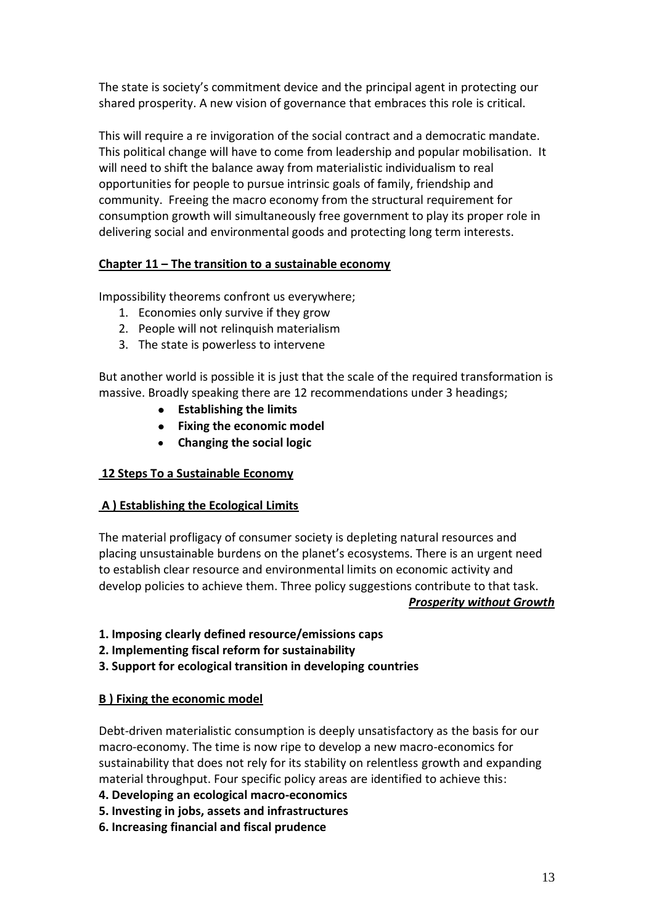The state is society's commitment device and the principal agent in protecting our shared prosperity. A new vision of governance that embraces this role is critical.

This will require a re invigoration of the social contract and a democratic mandate. This political change will have to come from leadership and popular mobilisation. It will need to shift the balance away from materialistic individualism to real opportunities for people to pursue intrinsic goals of family, friendship and community. Freeing the macro economy from the structural requirement for consumption growth will simultaneously free government to play its proper role in delivering social and environmental goods and protecting long term interests.

# **Chapter 11 – The transition to a sustainable economy**

Impossibility theorems confront us everywhere;

- 1. Economies only survive if they grow
- 2. People will not relinquish materialism
- 3. The state is powerless to intervene

But another world is possible it is just that the scale of the required transformation is massive. Broadly speaking there are 12 recommendations under 3 headings;

- **Establishing the limits**
- **Fixing the economic model**
- **Changing the social logic**

# **12 Steps To a Sustainable Economy**

# **A ) Establishing the Ecological Limits**

The material profligacy of consumer society is depleting natural resources and placing unsustainable burdens on the planet's ecosystems. There is an urgent need to establish clear resource and environmental limits on economic activity and develop policies to achieve them. Three policy suggestions contribute to that task.

#### *Prosperity without Growth*

- **1. Imposing clearly defined resource/emissions caps**
- **2. Implementing fiscal reform for sustainability**
- **3. Support for ecological transition in developing countries**

# **B ) Fixing the economic model**

Debt-driven materialistic consumption is deeply unsatisfactory as the basis for our macro-economy. The time is now ripe to develop a new macro-economics for sustainability that does not rely for its stability on relentless growth and expanding material throughput. Four specific policy areas are identified to achieve this:

- **4. Developing an ecological macro-economics**
- **5. Investing in jobs, assets and infrastructures**
- **6. Increasing financial and fiscal prudence**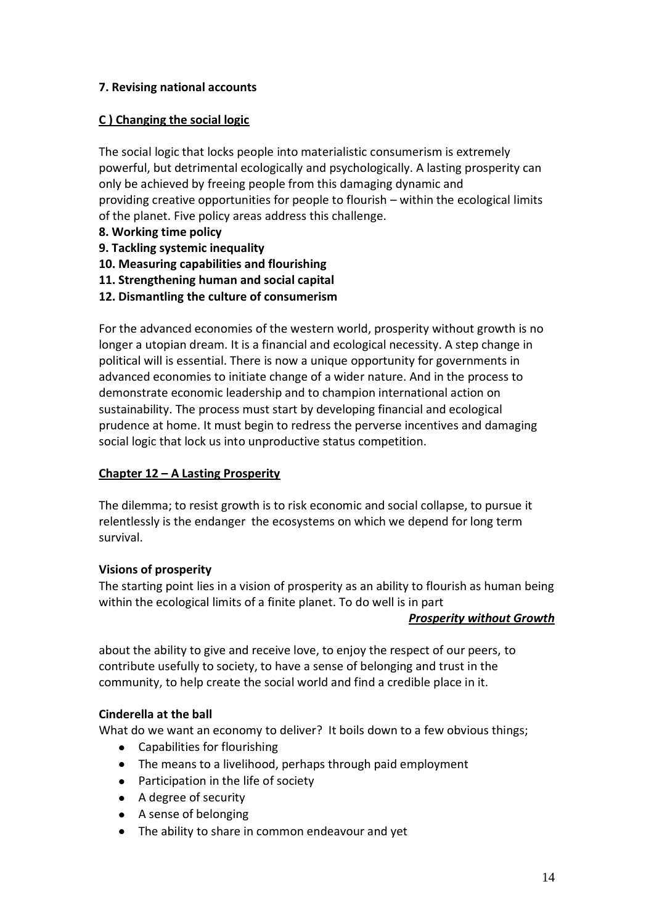# **7. Revising national accounts**

# **C ) Changing the social logic**

The social logic that locks people into materialistic consumerism is extremely powerful, but detrimental ecologically and psychologically. A lasting prosperity can only be achieved by freeing people from this damaging dynamic and providing creative opportunities for people to flourish – within the ecological limits of the planet. Five policy areas address this challenge.

- **8. Working time policy**
- **9. Tackling systemic inequality**
- **10. Measuring capabilities and flourishing**
- **11. Strengthening human and social capital**
- **12. Dismantling the culture of consumerism**

For the advanced economies of the western world, prosperity without growth is no longer a utopian dream. It is a financial and ecological necessity. A step change in political will is essential. There is now a unique opportunity for governments in advanced economies to initiate change of a wider nature. And in the process to demonstrate economic leadership and to champion international action on sustainability. The process must start by developing financial and ecological prudence at home. It must begin to redress the perverse incentives and damaging social logic that lock us into unproductive status competition.

# **Chapter 12 – A Lasting Prosperity**

The dilemma; to resist growth is to risk economic and social collapse, to pursue it relentlessly is the endanger the ecosystems on which we depend for long term survival.

#### **Visions of prosperity**

The starting point lies in a vision of prosperity as an ability to flourish as human being within the ecological limits of a finite planet. To do well is in part

#### *Prosperity without Growth*

about the ability to give and receive love, to enjoy the respect of our peers, to contribute usefully to society, to have a sense of belonging and trust in the community, to help create the social world and find a credible place in it.

# **Cinderella at the ball**

What do we want an economy to deliver? It boils down to a few obvious things;

- Capabilities for flourishing
- The means to a livelihood, perhaps through paid employment
- Participation in the life of society
- A degree of security
- A sense of belonging
- The ability to share in common endeavour and yet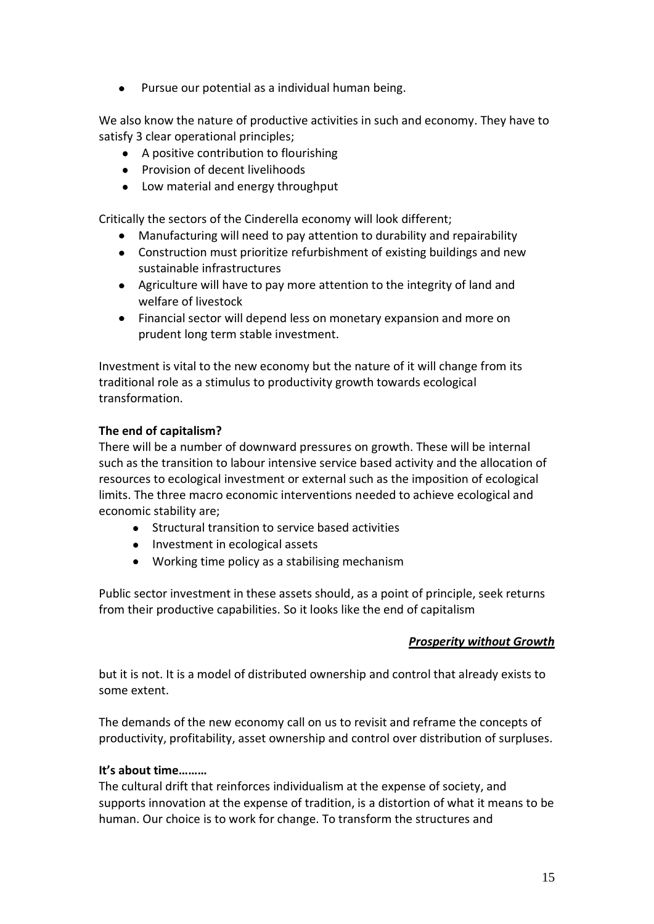Pursue our potential as a individual human being.

We also know the nature of productive activities in such and economy. They have to satisfy 3 clear operational principles;

- A positive contribution to flourishing
- Provision of decent livelihoods
- Low material and energy throughput

Critically the sectors of the Cinderella economy will look different;

- Manufacturing will need to pay attention to durability and repairability
- Construction must prioritize refurbishment of existing buildings and new sustainable infrastructures
- Agriculture will have to pay more attention to the integrity of land and welfare of livestock
- Financial sector will depend less on monetary expansion and more on prudent long term stable investment.

Investment is vital to the new economy but the nature of it will change from its traditional role as a stimulus to productivity growth towards ecological transformation.

#### **The end of capitalism?**

There will be a number of downward pressures on growth. These will be internal such as the transition to labour intensive service based activity and the allocation of resources to ecological investment or external such as the imposition of ecological limits. The three macro economic interventions needed to achieve ecological and economic stability are;

- Structural transition to service based activities
- Investment in ecological assets
- Working time policy as a stabilising mechanism

Public sector investment in these assets should, as a point of principle, seek returns from their productive capabilities. So it looks like the end of capitalism

#### *Prosperity without Growth*

but it is not. It is a model of distributed ownership and control that already exists to some extent.

The demands of the new economy call on us to revisit and reframe the concepts of productivity, profitability, asset ownership and control over distribution of surpluses.

#### **It's about time………**

The cultural drift that reinforces individualism at the expense of society, and supports innovation at the expense of tradition, is a distortion of what it means to be human. Our choice is to work for change. To transform the structures and